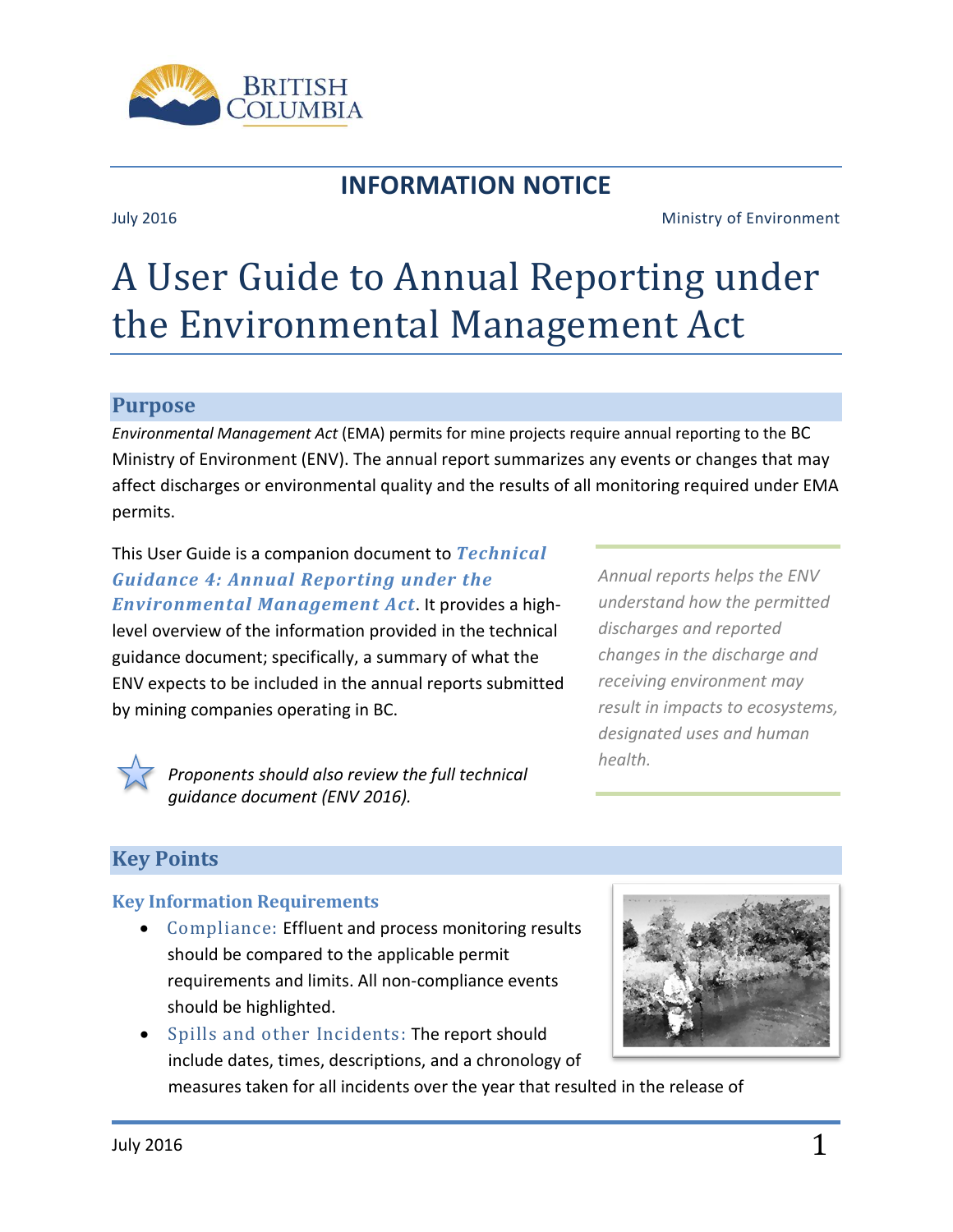

## **INFORMATION NOTICE**

#### July 2016 Ministry of Environment

# A User Guide to Annual Reporting under the Environmental Management Act

#### **Purpose**

*Environmental Management Act* (EMA) permits for mine projects require annual reporting to the BC Ministry of Environment (ENV). The annual report summarizes any events or changes that may affect discharges or environmental quality and the results of all monitoring required under EMA permits.

This User Guide is a companion document to *Technical Guidance 4: Annual Reporting under the Environmental Management Act*. It provides a highlevel overview of the information provided in the technical guidance document; specifically, a summary of what the ENV expects to be included in the annual reports submitted by mining companies operating in BC.

*Annual reports helps the ENV understand how the permitted discharges and reported changes in the discharge and receiving environment may result in impacts to ecosystems, designated uses and human health.*



*Proponents should also review the full technical guidance document (ENV 2016).*

### **Key Points**

#### **Key Information Requirements**

- Compliance: Effluent and process monitoring results should be compared to the applicable permit requirements and limits. All non-compliance events should be highlighted.
- Spills and other Incidents: The report should include dates, times, descriptions, and a chronology of measures taken for all incidents over the year that resulted in the release of

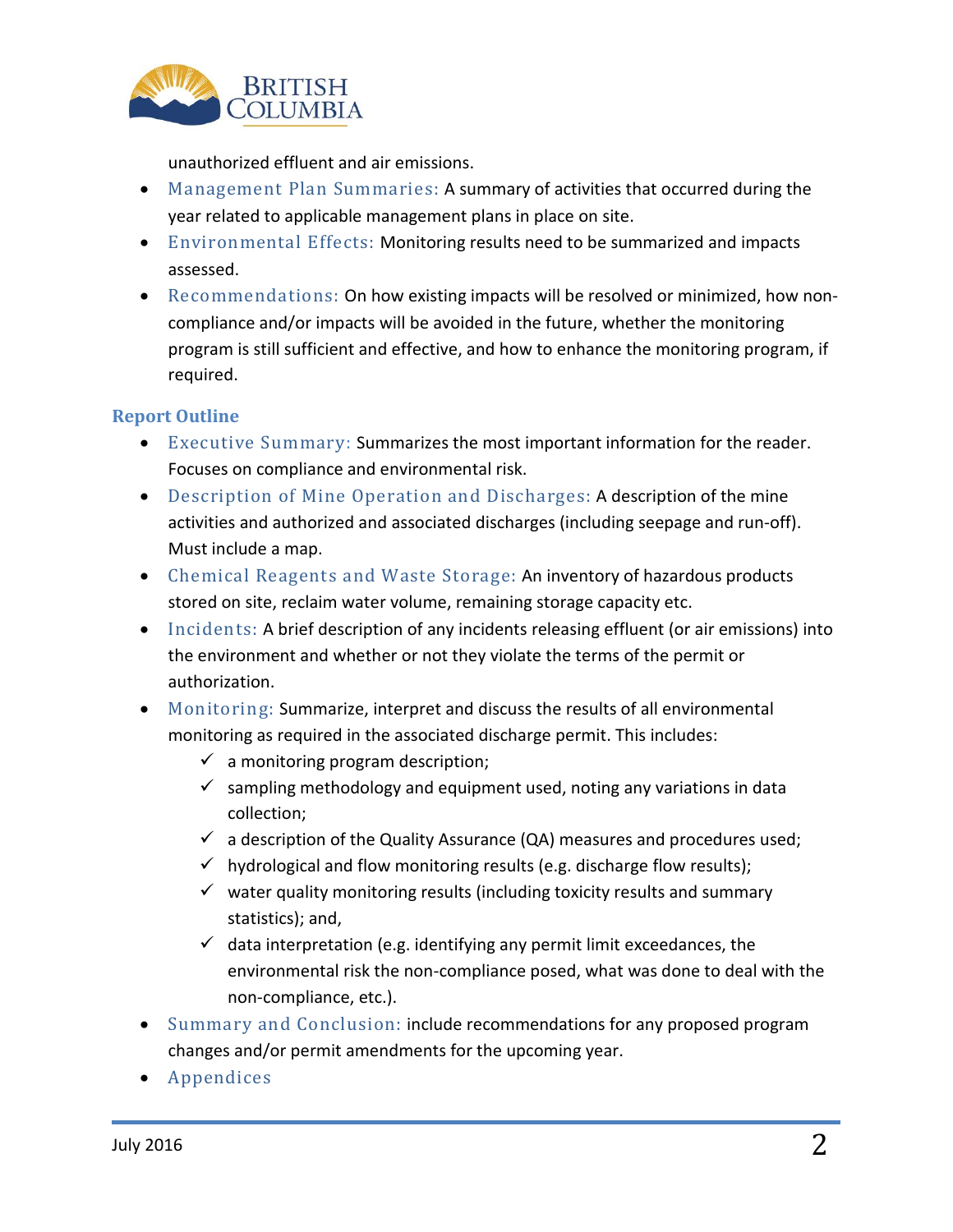

unauthorized effluent and air emissions.

- Management Plan Summaries: A summary of activities that occurred during the year related to applicable management plans in place on site.
- Environmental Effects: Monitoring results need to be summarized and impacts assessed.
- Recommendations: On how existing impacts will be resolved or minimized, how noncompliance and/or impacts will be avoided in the future, whether the monitoring program is still sufficient and effective, and how to enhance the monitoring program, if required.

#### **Report Outline**

- Executive Summary: Summarizes the most important information for the reader. Focuses on compliance and environmental risk.
- Description of Mine Operation and Discharges: A description of the mine activities and authorized and associated discharges (including seepage and run-off). Must include a map.
- Chemical Reagents and Waste Storage: An inventory of hazardous products stored on site, reclaim water volume, remaining storage capacity etc.
- Incidents: A brief description of any incidents releasing effluent (or air emissions) into the environment and whether or not they violate the terms of the permit or authorization.
- Monitoring: Summarize, interpret and discuss the results of all environmental monitoring as required in the associated discharge permit. This includes:
	- $\checkmark$  a monitoring program description;
	- $\checkmark$  sampling methodology and equipment used, noting any variations in data collection;
	- $\checkmark$  a description of the Quality Assurance (QA) measures and procedures used;
	- $\checkmark$  hydrological and flow monitoring results (e.g. discharge flow results);
	- $\checkmark$  water quality monitoring results (including toxicity results and summary statistics); and,
	- $\checkmark$  data interpretation (e.g. identifying any permit limit exceedances, the environmental risk the non-compliance posed, what was done to deal with the non-compliance, etc.).
- Summary and Conclusion: include recommendations for any proposed program changes and/or permit amendments for the upcoming year.
- Appendices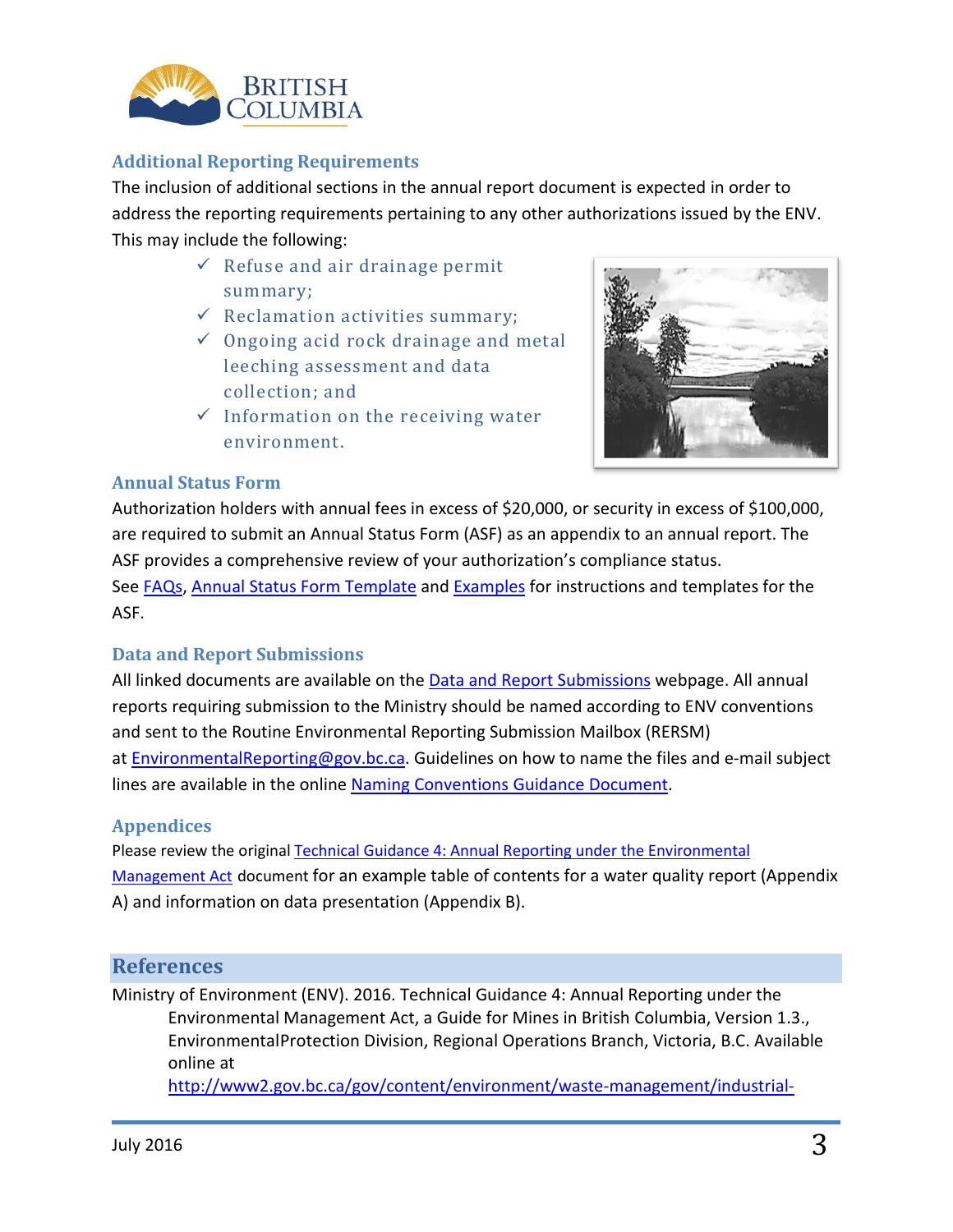

#### **Additional Reporting Requirements**

The inclusion of additional sections in the annual report document is expected in order to address the reporting requirements pertaining to any other authorizations issued by the ENV. This may include the following:

- $\checkmark$  Refuse and air drainage permit summary;
- $\checkmark$  Reclamation activities summary;
- $\checkmark$  Ongoing acid rock drainage and metal leeching assessment and data collection; and
- $\checkmark$  Information on the receiving water environment.



#### **Annual Status Form**

Authorization holders with annual fees in excess of \$20,000, or security in excess of \$100,000, are required to submit an Annual Status Form (ASF) as an appendix to an annual report. The ASF provides a comprehensive review of your authorization's compliance status. See [FAQs,](http://www2.gov.bc.ca/assets/gov/environment/waste-management/waste-discharge-authorization/datamart/asf_faq.pdf) [Annual Status Form Template](http://www2.gov.bc.ca/assets/gov/environment/waste-management/waste-discharge-authorization/datamart/asf_template_instruction.xlsm) and [Examples](http://www2.gov.bc.ca/assets/gov/environment/waste-management/waste-discharge-authorization/datamart/asf_examples.pdf) for instructions and templates for the ASF.

#### **Data and Report Submissions**

All linked documents are available on the [Data and Report Submissions](http://www2.gov.bc.ca/gov/content/environment/waste-management/waste-discharge-authorization/data-and-report-submissions) webpage. All annual reports requiring submission to the Ministry should be named according to ENV conventions and sent to the Routine Environmental Reporting Submission Mailbox (RERSM) at [EnvironmentalReporting@gov.bc.ca.](mailto:EnvironmentalReporting@gov.bc.ca) Guidelines on how to name the files and e-mail subject lines are available in the online [Naming Conventions](http://www2.gov.bc.ca/assets/gov/environment/waste-management/waste-discharge-authorization/datamart/rersm_naming_convention.pdf) Guidance Document.

#### **Appendices**

Please review the original [Technical Guidance 4: Annual Reporting under the Environmental](http://www2.gov.bc.ca/gov/content/environment/waste-management/industrial-waste/mining-smelting/guidance-documents)  [Management Act](http://www2.gov.bc.ca/gov/content/environment/waste-management/industrial-waste/mining-smelting/guidance-documents) document for an example table of contents for a water quality report (Appendix A) and information on data presentation (Appendix B).

#### **References**

Ministry of Environment (ENV). 2016. Technical Guidance 4: Annual Reporting under the Environmental Management Act, a Guide for Mines in British Columbia, Version 1.3., EnvironmentalProtection Division, Regional Operations Branch, Victoria, B.C. Available online at

[http://www2.gov.bc.ca/gov/content/environment/waste-management/industrial-](http://www2.gov.bc.ca/gov/content/environment/waste-management/industrial-waste/mining-smelting/guidance-documents)